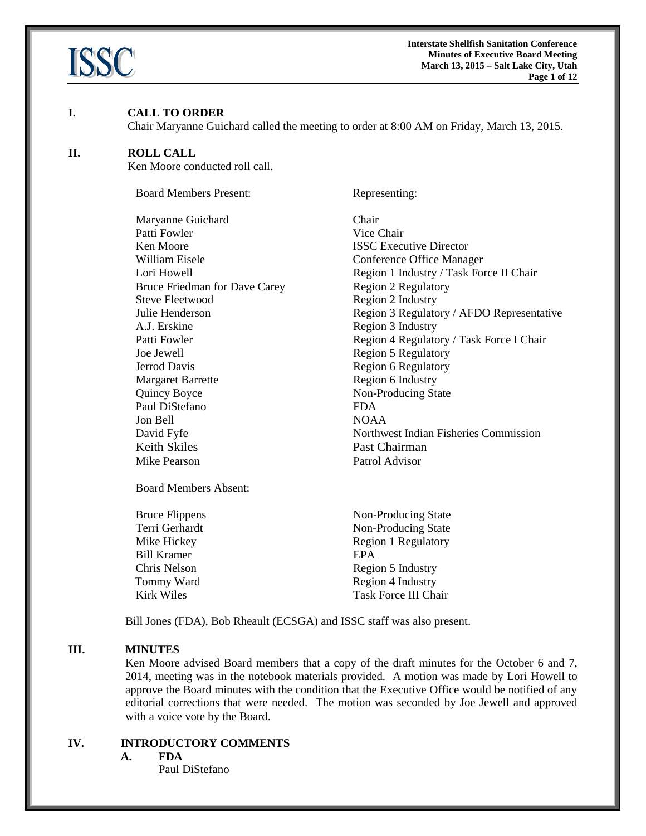

**Interstate Shellfish Sanitation Conference Minutes of Executive Board Meeting March 13, 2015 – Salt Lake City, Utah Page 1 of 12**

#### **I. CALL TO ORDER**

Chair Maryanne Guichard called the meeting to order at 8:00 AM on Friday, March 13, 2015.

#### **II. ROLL CALL**

Ken Moore conducted roll call.

Board Members Present: Representing: Maryanne Guichard Chair Patti Fowler Vice Chair **Ken Moore ISSC Executive Director** William Eisele **Conference Office Manager** Lori Howell Region 1 Industry / Task Force II Chair Bruce Friedman for Dave Carey Region 2 Regulatory Steve Fleetwood Region 2 Industry Julie Henderson Region 3 Regulatory / AFDO Representative A.J. Erskine Region 3 Industry Patti Fowler **Patti Foulder Region 4 Regulatory / Task Force I Chair** Joe Jewell Region 5 Regulatory Jerrod Davis Region 6 Regulatory Margaret Barrette Region 6 Industry Quincy Boyce Non-Producing State Paul DiStefano FDA Jon Bell NOAA David Fyfe Northwest Indian Fisheries Commission Keith Skiles Past Chairman Mike Pearson Patrol Advisor

Board Members Absent:

Bill Kramer **EPA** 

Bruce Flippens Non-Producing State Terri Gerhardt Non-Producing State Mike Hickey Region 1 Regulatory Chris Nelson Region 5 Industry Tommy Ward Region 4 Industry Kirk Wiles Task Force III Chair

Bill Jones (FDA), Bob Rheault (ECSGA) and ISSC staff was also present.

#### **III. MINUTES**

Ken Moore advised Board members that a copy of the draft minutes for the October 6 and 7, 2014, meeting was in the notebook materials provided. A motion was made by Lori Howell to approve the Board minutes with the condition that the Executive Office would be notified of any editorial corrections that were needed. The motion was seconded by Joe Jewell and approved with a voice vote by the Board.

# **IV. INTRODUCTORY COMMENTS**

**A. FDA**

Paul DiStefano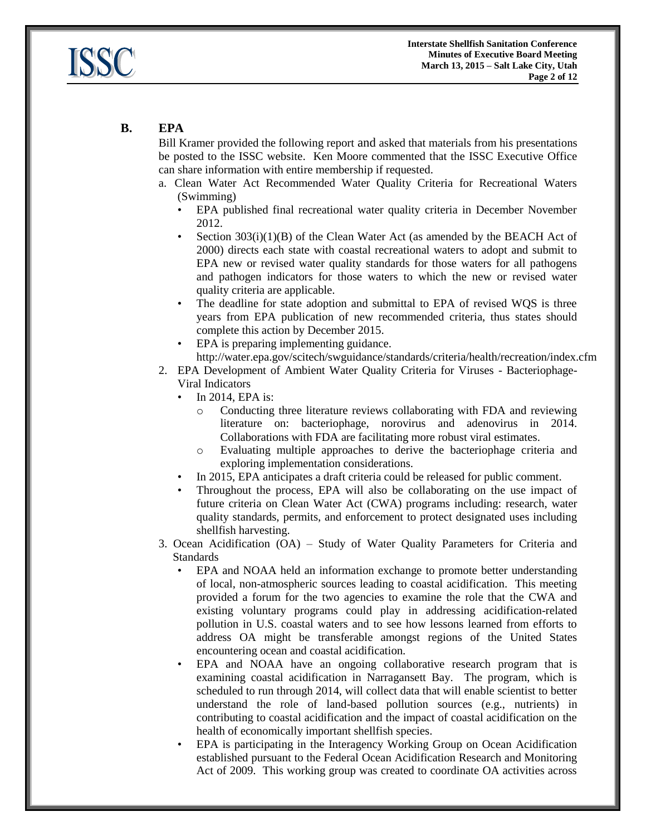

# **B. EPA**

Bill Kramer provided the following report and asked that materials from his presentations be posted to the ISSC website. Ken Moore commented that the ISSC Executive Office can share information with entire membership if requested.

- a. Clean Water Act Recommended Water Quality Criteria for Recreational Waters (Swimming)
	- EPA published final recreational water quality criteria in December November 2012.
	- Section  $303(i)(1)(B)$  of the Clean Water Act (as amended by the BEACH Act of 2000) directs each state with coastal recreational waters to adopt and submit to EPA new or revised water quality standards for those waters for all pathogens and pathogen indicators for those waters to which the new or revised water quality criteria are applicable.
	- The deadline for state adoption and submittal to EPA of revised WQS is three years from EPA publication of new recommended criteria, thus states should complete this action by December 2015.
	- EPA is preparing implementing guidance. http://water.epa.gov/scitech/swguidance/standards/criteria/health/recreation/index.cfm
- 2. EPA Development of Ambient Water Quality Criteria for Viruses Bacteriophage-Viral Indicators
	- In 2014, EPA is:
		- Conducting three literature reviews collaborating with FDA and reviewing literature on: bacteriophage, norovirus and adenovirus in 2014. Collaborations with FDA are facilitating more robust viral estimates.
		- o Evaluating multiple approaches to derive the bacteriophage criteria and exploring implementation considerations.
	- In 2015, EPA anticipates a draft criteria could be released for public comment.
	- Throughout the process, EPA will also be collaborating on the use impact of future criteria on Clean Water Act (CWA) programs including: research, water quality standards, permits, and enforcement to protect designated uses including shellfish harvesting.
- 3. Ocean Acidification (OA) Study of Water Quality Parameters for Criteria and Standards
	- EPA and NOAA held an information exchange to promote better understanding of local, non-atmospheric sources leading to coastal acidification. This meeting provided a forum for the two agencies to examine the role that the CWA and existing voluntary programs could play in addressing acidification-related pollution in U.S. coastal waters and to see how lessons learned from efforts to address OA might be transferable amongst regions of the United States encountering ocean and coastal acidification.
	- EPA and NOAA have an ongoing collaborative research program that is examining coastal acidification in Narragansett Bay. The program, which is scheduled to run through 2014, will collect data that will enable scientist to better understand the role of land-based pollution sources (e.g., nutrients) in contributing to coastal acidification and the impact of coastal acidification on the health of economically important shellfish species.
	- EPA is participating in the Interagency Working Group on Ocean Acidification established pursuant to the Federal Ocean Acidification Research and Monitoring Act of 2009. This working group was created to coordinate OA activities across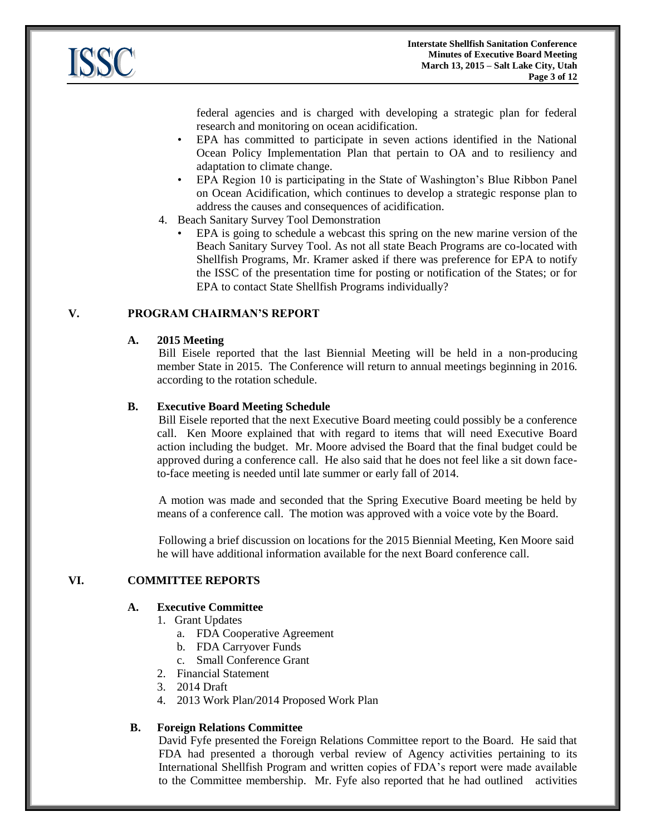

federal agencies and is charged with developing a strategic plan for federal research and monitoring on ocean acidification.

- EPA has committed to participate in seven actions identified in the National Ocean Policy Implementation Plan that pertain to OA and to resiliency and adaptation to climate change.
- EPA Region 10 is participating in the State of Washington's Blue Ribbon Panel on Ocean Acidification, which continues to develop a strategic response plan to address the causes and consequences of acidification.
- 4. Beach Sanitary Survey Tool Demonstration
	- EPA is going to schedule a webcast this spring on the new marine version of the Beach Sanitary Survey Tool. As not all state Beach Programs are co-located with Shellfish Programs, Mr. Kramer asked if there was preference for EPA to notify the ISSC of the presentation time for posting or notification of the States; or for EPA to contact State Shellfish Programs individually?

## **V. PROGRAM CHAIRMAN'S REPORT**

## **A. 2015 Meeting**

Bill Eisele reported that the last Biennial Meeting will be held in a non-producing member State in 2015. The Conference will return to annual meetings beginning in 2016. according to the rotation schedule.

## **B. Executive Board Meeting Schedule**

Bill Eisele reported that the next Executive Board meeting could possibly be a conference call. Ken Moore explained that with regard to items that will need Executive Board action including the budget. Mr. Moore advised the Board that the final budget could be approved during a conference call. He also said that he does not feel like a sit down faceto-face meeting is needed until late summer or early fall of 2014.

A motion was made and seconded that the Spring Executive Board meeting be held by means of a conference call. The motion was approved with a voice vote by the Board.

Following a brief discussion on locations for the 2015 Biennial Meeting, Ken Moore said he will have additional information available for the next Board conference call.

# **VI. COMMITTEE REPORTS**

## **A. Executive Committee**

- 1. Grant Updates
	- a. FDA Cooperative Agreement
	- b. FDA Carryover Funds
	- c. Small Conference Grant
- 2. Financial Statement
- 3. 2014 Draft
- 4. 2013 Work Plan/2014 Proposed Work Plan

## **B. Foreign Relations Committee**

David Fyfe presented the Foreign Relations Committee report to the Board. He said that FDA had presented a thorough verbal review of Agency activities pertaining to its International Shellfish Program and written copies of FDA's report were made available to the Committee membership. Mr. Fyfe also reported that he had outlined activities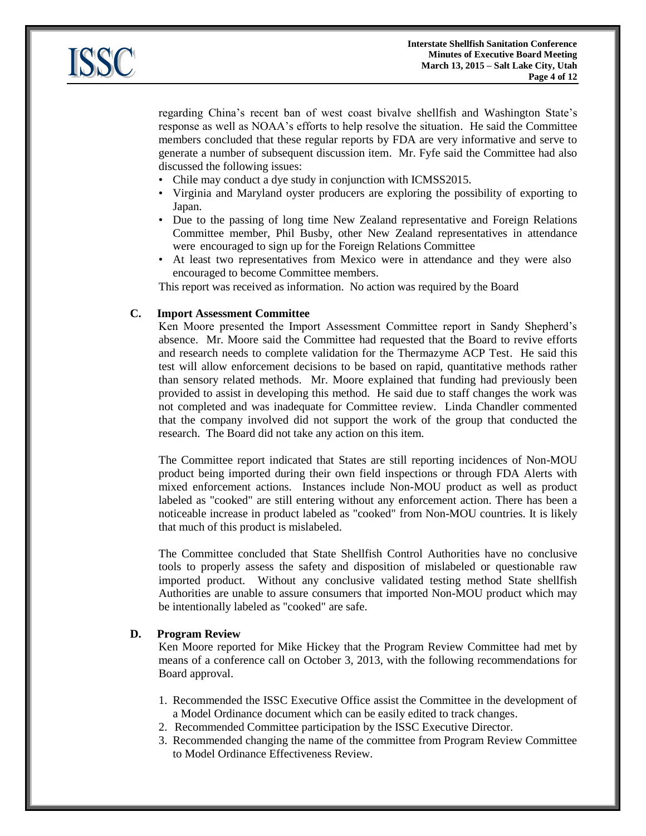

regarding China's recent ban of west coast bivalve shellfish and Washington State's response as well as NOAA's efforts to help resolve the situation. He said the Committee members concluded that these regular reports by FDA are very informative and serve to generate a number of subsequent discussion item. Mr. Fyfe said the Committee had also discussed the following issues:

- Chile may conduct a dye study in conjunction with ICMSS2015.
- Virginia and Maryland oyster producers are exploring the possibility of exporting to Japan.
- Due to the passing of long time New Zealand representative and Foreign Relations Committee member, Phil Busby, other New Zealand representatives in attendance were encouraged to sign up for the Foreign Relations Committee
- At least two representatives from Mexico were in attendance and they were also encouraged to become Committee members.

This report was received as information. No action was required by the Board

## **C. Import Assessment Committee**

Ken Moore presented the Import Assessment Committee report in Sandy Shepherd's absence. Mr. Moore said the Committee had requested that the Board to revive efforts and research needs to complete validation for the Thermazyme ACP Test. He said this test will allow enforcement decisions to be based on rapid, quantitative methods rather than sensory related methods. Mr. Moore explained that funding had previously been provided to assist in developing this method. He said due to staff changes the work was not completed and was inadequate for Committee review. Linda Chandler commented that the company involved did not support the work of the group that conducted the research. The Board did not take any action on this item.

The Committee report indicated that States are still reporting incidences of Non-MOU product being imported during their own field inspections or through FDA Alerts with mixed enforcement actions. Instances include Non-MOU product as well as product labeled as "cooked" are still entering without any enforcement action. There has been a noticeable increase in product labeled as "cooked" from Non-MOU countries. It is likely that much of this product is mislabeled.

The Committee concluded that State Shellfish Control Authorities have no conclusive tools to properly assess the safety and disposition of mislabeled or questionable raw imported product. Without any conclusive validated testing method State shellfish Authorities are unable to assure consumers that imported Non-MOU product which may be intentionally labeled as "cooked" are safe.

#### **D. Program Review**

Ken Moore reported for Mike Hickey that the Program Review Committee had met by means of a conference call on October 3, 2013, with the following recommendations for Board approval.

- 1. Recommended the ISSC Executive Office assist the Committee in the development of a Model Ordinance document which can be easily edited to track changes.
- 2. Recommended Committee participation by the ISSC Executive Director.
- 3. Recommended changing the name of the committee from Program Review Committee to Model Ordinance Effectiveness Review.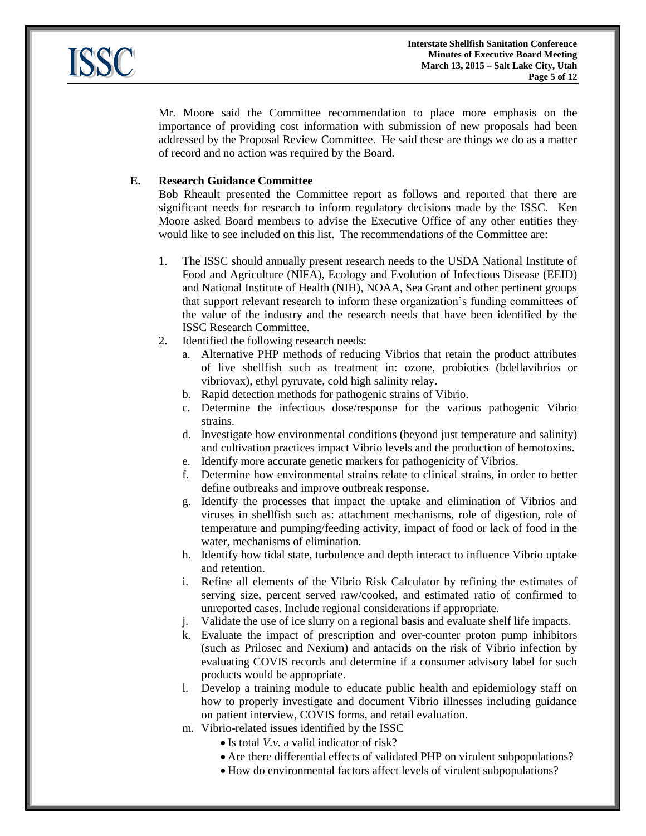

Mr. Moore said the Committee recommendation to place more emphasis on the importance of providing cost information with submission of new proposals had been addressed by the Proposal Review Committee. He said these are things we do as a matter of record and no action was required by the Board.

# **E. Research Guidance Committee**

Bob Rheault presented the Committee report as follows and reported that there are significant needs for research to inform regulatory decisions made by the ISSC. Ken Moore asked Board members to advise the Executive Office of any other entities they would like to see included on this list. The recommendations of the Committee are:

- 1. The ISSC should annually present research needs to the USDA National Institute of Food and Agriculture (NIFA), Ecology and Evolution of Infectious Disease (EEID) and National Institute of Health (NIH), NOAA, Sea Grant and other pertinent groups that support relevant research to inform these organization's funding committees of the value of the industry and the research needs that have been identified by the ISSC Research Committee.
- 2. Identified the following research needs:
	- a. Alternative PHP methods of reducing Vibrios that retain the product attributes of live shellfish such as treatment in: ozone, probiotics (bdellavibrios or vibriovax), ethyl pyruvate, cold high salinity relay.
	- b. Rapid detection methods for pathogenic strains of Vibrio.
	- c. Determine the infectious dose/response for the various pathogenic Vibrio strains.
	- d. Investigate how environmental conditions (beyond just temperature and salinity) and cultivation practices impact Vibrio levels and the production of hemotoxins.
	- e. Identify more accurate genetic markers for pathogenicity of Vibrios.
	- f. Determine how environmental strains relate to clinical strains, in order to better define outbreaks and improve outbreak response.
	- g. Identify the processes that impact the uptake and elimination of Vibrios and viruses in shellfish such as: attachment mechanisms, role of digestion, role of temperature and pumping/feeding activity, impact of food or lack of food in the water, mechanisms of elimination.
	- h. Identify how tidal state, turbulence and depth interact to influence Vibrio uptake and retention.
	- i. Refine all elements of the Vibrio Risk Calculator by refining the estimates of serving size, percent served raw/cooked, and estimated ratio of confirmed to unreported cases. Include regional considerations if appropriate.
	- j. Validate the use of ice slurry on a regional basis and evaluate shelf life impacts.
	- k. Evaluate the impact of prescription and over-counter proton pump inhibitors (such as Prilosec and Nexium) and antacids on the risk of Vibrio infection by evaluating COVIS records and determine if a consumer advisory label for such products would be appropriate.
	- l. Develop a training module to educate public health and epidemiology staff on how to properly investigate and document Vibrio illnesses including guidance on patient interview, COVIS forms, and retail evaluation.
	- m. Vibrio-related issues identified by the ISSC
		- Is total *V.v.* a valid indicator of risk?
		- Are there differential effects of validated PHP on virulent subpopulations?
		- How do environmental factors affect levels of virulent subpopulations?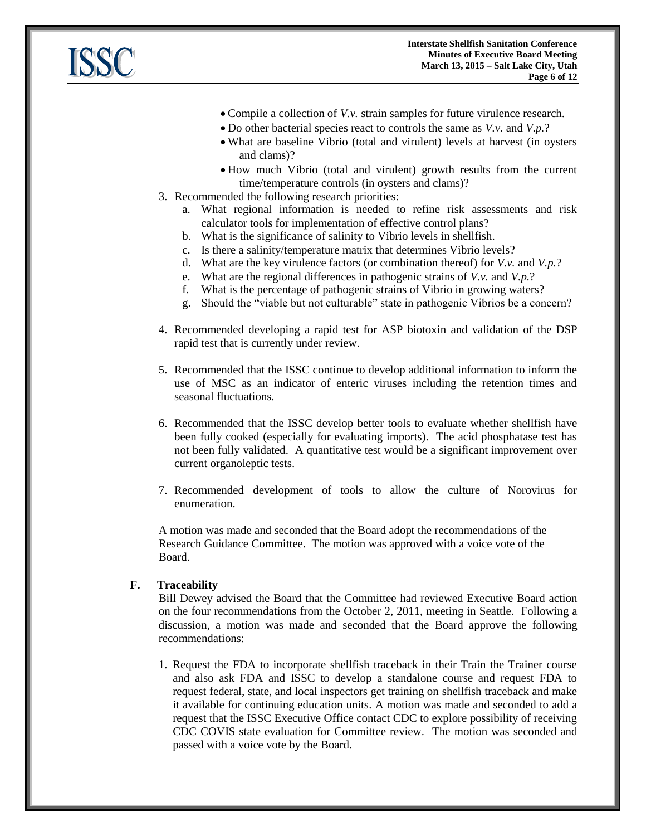

- Compile a collection of *V.v.* strain samples for future virulence research.
- Do other bacterial species react to controls the same as *V.v.* and *V.p.*?
- What are baseline Vibrio (total and virulent) levels at harvest (in oysters and clams)?
- How much Vibrio (total and virulent) growth results from the current time/temperature controls (in oysters and clams)?
- 3. Recommended the following research priorities:
	- a. What regional information is needed to refine risk assessments and risk calculator tools for implementation of effective control plans?
	- b. What is the significance of salinity to Vibrio levels in shellfish.
	- c. Is there a salinity/temperature matrix that determines Vibrio levels?
	- d. What are the key virulence factors (or combination thereof) for *V.v.* and *V.p.*?
	- e. What are the regional differences in pathogenic strains of *V.v.* and *V.p.*?
	- f. What is the percentage of pathogenic strains of Vibrio in growing waters?
	- g. Should the "viable but not culturable" state in pathogenic Vibrios be a concern?
- 4. Recommended developing a rapid test for ASP biotoxin and validation of the DSP rapid test that is currently under review.
- 5. Recommended that the ISSC continue to develop additional information to inform the use of MSC as an indicator of enteric viruses including the retention times and seasonal fluctuations.
- 6. Recommended that the ISSC develop better tools to evaluate whether shellfish have been fully cooked (especially for evaluating imports). The acid phosphatase test has not been fully validated. A quantitative test would be a significant improvement over current organoleptic tests.
- 7. Recommended development of tools to allow the culture of Norovirus for enumeration.

A motion was made and seconded that the Board adopt the recommendations of the Research Guidance Committee. The motion was approved with a voice vote of the Board.

## **F. Traceability**

Bill Dewey advised the Board that the Committee had reviewed Executive Board action on the four recommendations from the October 2, 2011, meeting in Seattle. Following a discussion, a motion was made and seconded that the Board approve the following recommendations:

1. Request the FDA to incorporate shellfish traceback in their Train the Trainer course and also ask FDA and ISSC to develop a standalone course and request FDA to request federal, state, and local inspectors get training on shellfish traceback and make it available for continuing education units. A motion was made and seconded to add a request that the ISSC Executive Office contact CDC to explore possibility of receiving CDC COVIS state evaluation for Committee review. The motion was seconded and passed with a voice vote by the Board.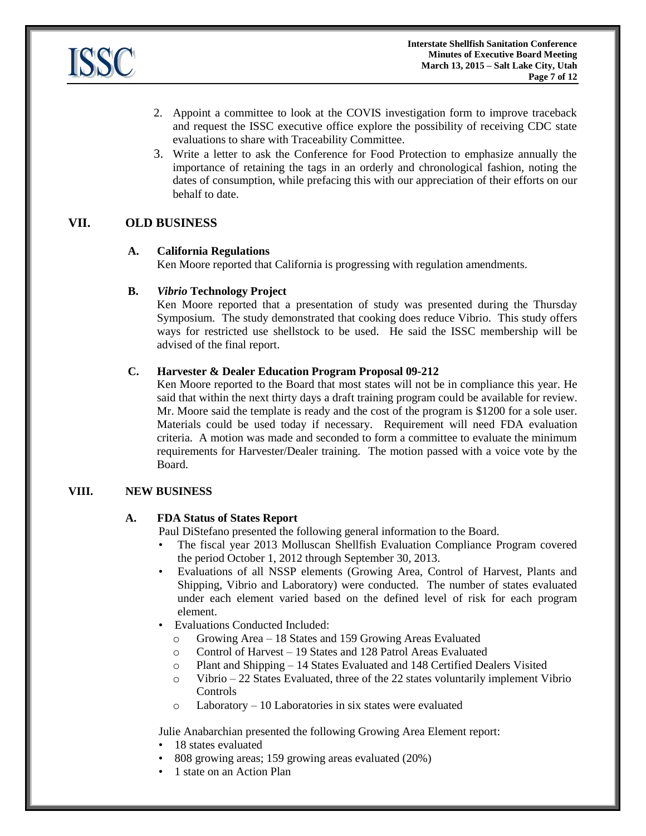

- 2. Appoint a committee to look at the COVIS investigation form to improve traceback and request the ISSC executive office explore the possibility of receiving CDC state evaluations to share with Traceability Committee.
- 3. Write a letter to ask the Conference for Food Protection to emphasize annually the importance of retaining the tags in an orderly and chronological fashion, noting the dates of consumption, while prefacing this with our appreciation of their efforts on our behalf to date.

# **VII. OLD BUSINESS**

## **A. California Regulations**

Ken Moore reported that California is progressing with regulation amendments.

## **B.** *Vibrio* **Technology Project**

Ken Moore reported that a presentation of study was presented during the Thursday Symposium. The study demonstrated that cooking does reduce Vibrio. This study offers ways for restricted use shellstock to be used. He said the ISSC membership will be advised of the final report.

## **C. Harvester & Dealer Education Program Proposal 09-212**

Ken Moore reported to the Board that most states will not be in compliance this year. He said that within the next thirty days a draft training program could be available for review. Mr. Moore said the template is ready and the cost of the program is \$1200 for a sole user. Materials could be used today if necessary. Requirement will need FDA evaluation criteria. A motion was made and seconded to form a committee to evaluate the minimum requirements for Harvester/Dealer training. The motion passed with a voice vote by the Board.

## **VIII. NEW BUSINESS**

## **A. FDA Status of States Report**

Paul DiStefano presented the following general information to the Board.

- The fiscal year 2013 Molluscan Shellfish Evaluation Compliance Program covered the period October 1, 2012 through September 30, 2013.
- Evaluations of all NSSP elements (Growing Area, Control of Harvest, Plants and Shipping, Vibrio and Laboratory) were conducted. The number of states evaluated under each element varied based on the defined level of risk for each program element.
- Evaluations Conducted Included:
	- o Growing Area 18 States and 159 Growing Areas Evaluated
	- o Control of Harvest 19 States and 128 Patrol Areas Evaluated
	- o Plant and Shipping 14 States Evaluated and 148 Certified Dealers Visited
	- o Vibrio 22 States Evaluated, three of the 22 states voluntarily implement Vibrio Controls
	- o Laboratory 10 Laboratories in six states were evaluated

Julie Anabarchian presented the following Growing Area Element report:

- 18 states evaluated
- 808 growing areas; 159 growing areas evaluated (20%)
- 1 state on an Action Plan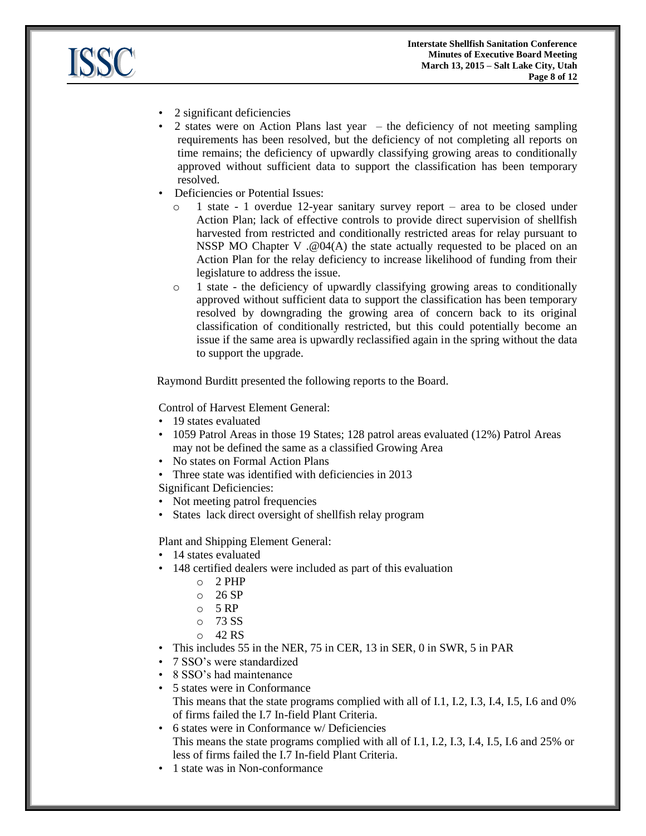



- 2 significant deficiencies
- 2 states were on Action Plans last year the deficiency of not meeting sampling requirements has been resolved, but the deficiency of not completing all reports on time remains; the deficiency of upwardly classifying growing areas to conditionally approved without sufficient data to support the classification has been temporary resolved.
- Deficiencies or Potential Issues:
	- o 1 state 1 overdue 12-year sanitary survey report area to be closed under Action Plan; lack of effective controls to provide direct supervision of shellfish harvested from restricted and conditionally restricted areas for relay pursuant to NSSP MO Chapter V .@04(A) the state actually requested to be placed on an Action Plan for the relay deficiency to increase likelihood of funding from their legislature to address the issue.
	- $\circ$  1 state the deficiency of upwardly classifying growing areas to conditionally approved without sufficient data to support the classification has been temporary resolved by downgrading the growing area of concern back to its original classification of conditionally restricted, but this could potentially become an issue if the same area is upwardly reclassified again in the spring without the data to support the upgrade.

Raymond Burditt presented the following reports to the Board.

Control of Harvest Element General:

- 19 states evaluated
- 1059 Patrol Areas in those 19 States; 128 patrol areas evaluated (12%) Patrol Areas may not be defined the same as a classified Growing Area
- No states on Formal Action Plans
- Three state was identified with deficiencies in 2013

Significant Deficiencies:

- Not meeting patrol frequencies
- States lack direct oversight of shellfish relay program

Plant and Shipping Element General:

- 14 states evaluated
- 148 certified dealers were included as part of this evaluation
	- o 2 PHP
	- $O<sub>26</sub>$  SP
	- $O<sub>2</sub>$  5 RP
	- o 73 SS
	- $\circ$  42 RS
- This includes 55 in the NER, 75 in CER, 13 in SER, 0 in SWR, 5 in PAR
- 7 SSO's were standardized
- 8 SSO's had maintenance
- 5 states were in Conformance This means that the state programs complied with all of I.1, I.2, I.3, I.4, I.5, I.6 and 0% of firms failed the I.7 In-field Plant Criteria.
- 6 states were in Conformance w/ Deficiencies This means the state programs complied with all of I.1, I.2, I.3, I.4, I.5, I.6 and 25% or less of firms failed the I.7 In-field Plant Criteria.
- 1 state was in Non-conformance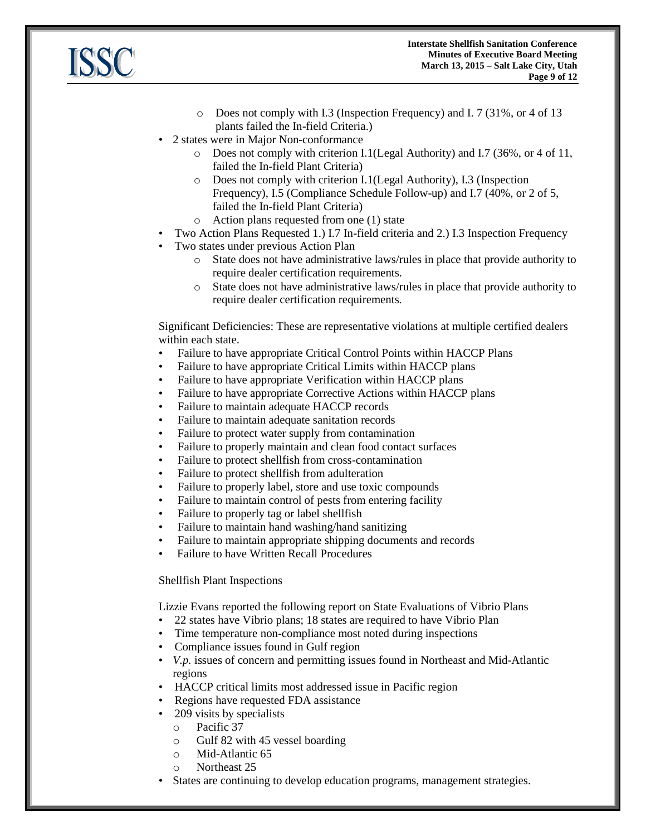

- o Does not comply with I.3 (Inspection Frequency) and I. 7 (31%, or 4 of 13 plants failed the In-field Criteria.)
- 2 states were in Major Non-conformance
	- $\circ$  Does not comply with criterion I.1(Legal Authority) and I.7 (36%, or 4 of 11, failed the In-field Plant Criteria)
	- o Does not comply with criterion I.1(Legal Authority), I.3 (Inspection Frequency), I.5 (Compliance Schedule Follow-up) and I.7 (40%, or 2 of 5, failed the In-field Plant Criteria)
	- o Action plans requested from one (1) state
- Two Action Plans Requested 1.) I.7 In-field criteria and 2.) I.3 Inspection Frequency
- Two states under previous Action Plan
	- o State does not have administrative laws/rules in place that provide authority to require dealer certification requirements.
	- o State does not have administrative laws/rules in place that provide authority to require dealer certification requirements.

Significant Deficiencies: These are representative violations at multiple certified dealers within each state.

- Failure to have appropriate Critical Control Points within HACCP Plans
- Failure to have appropriate Critical Limits within HACCP plans
- Failure to have appropriate Verification within HACCP plans
- Failure to have appropriate Corrective Actions within HACCP plans
- Failure to maintain adequate HACCP records
- Failure to maintain adequate sanitation records
- Failure to protect water supply from contamination
- Failure to properly maintain and clean food contact surfaces
- Failure to protect shellfish from cross-contamination
- Failure to protect shell fish from adulteration
- Failure to properly label, store and use toxic compounds
- Failure to maintain control of pests from entering facility
- Failure to properly tag or label shellfish
- Failure to maintain hand washing/hand sanitizing
- Failure to maintain appropriate shipping documents and records
- Failure to have Written Recall Procedures

#### Shellfish Plant Inspections

Lizzie Evans reported the following report on State Evaluations of Vibrio Plans

- 22 states have Vibrio plans; 18 states are required to have Vibrio Plan
- Time temperature non-compliance most noted during inspections
- Compliance issues found in Gulf region
- *V.p.* issues of concern and permitting issues found in Northeast and Mid-Atlantic regions
- HACCP critical limits most addressed issue in Pacific region
- Regions have requested FDA assistance
- 209 visits by specialists
	- o Pacific 37
	- o Gulf 82 with 45 vessel boarding
	- o Mid-Atlantic 65
	- o Northeast 25
- States are continuing to develop education programs, management strategies.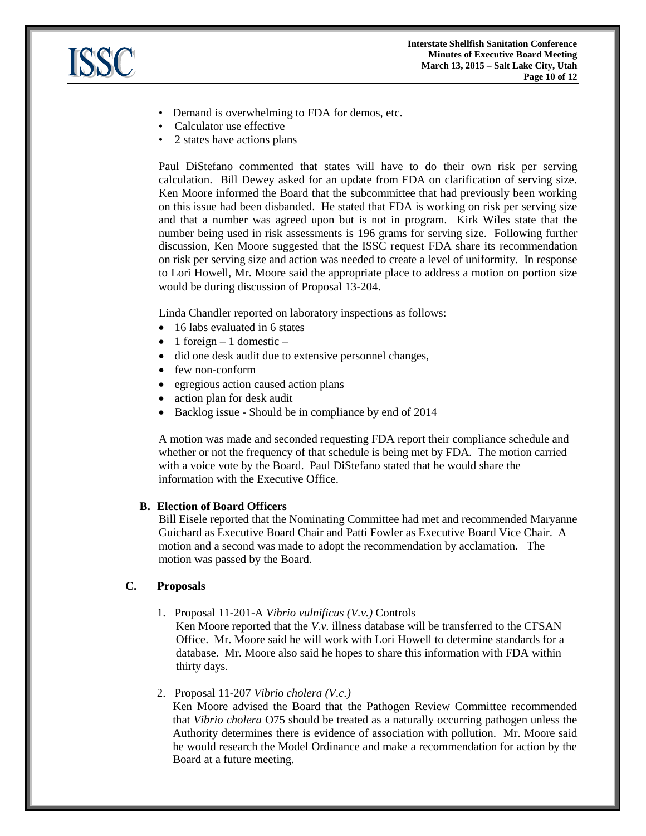

- Demand is overwhelming to FDA for demos, etc.
- Calculator use effective
- 2 states have actions plans

Paul DiStefano commented that states will have to do their own risk per serving calculation. Bill Dewey asked for an update from FDA on clarification of serving size. Ken Moore informed the Board that the subcommittee that had previously been working on this issue had been disbanded. He stated that FDA is working on risk per serving size and that a number was agreed upon but is not in program. Kirk Wiles state that the number being used in risk assessments is 196 grams for serving size. Following further discussion, Ken Moore suggested that the ISSC request FDA share its recommendation on risk per serving size and action was needed to create a level of uniformity. In response to Lori Howell, Mr. Moore said the appropriate place to address a motion on portion size would be during discussion of Proposal 13-204.

Linda Chandler reported on laboratory inspections as follows:

- 16 labs evaluated in 6 states
- 1 foreign 1 domestic –
- did one desk audit due to extensive personnel changes,
- few non-conform
- egregious action caused action plans
- action plan for desk audit
- Backlog issue Should be in compliance by end of 2014

A motion was made and seconded requesting FDA report their compliance schedule and whether or not the frequency of that schedule is being met by FDA. The motion carried with a voice vote by the Board. Paul DiStefano stated that he would share the information with the Executive Office.

## **B. Election of Board Officers**

Bill Eisele reported that the Nominating Committee had met and recommended Maryanne Guichard as Executive Board Chair and Patti Fowler as Executive Board Vice Chair. A motion and a second was made to adopt the recommendation by acclamation. The motion was passed by the Board.

## **C. Proposals**

1. Proposal 11-201-A *Vibrio vulnificus (V.v.)* Controls

Ken Moore reported that the *V.v.* illness database will be transferred to the CFSAN Office. Mr. Moore said he will work with Lori Howell to determine standards for a database. Mr. Moore also said he hopes to share this information with FDA within thirty days.

#### 2. Proposal 11-207 *Vibrio cholera (V.c.)*

Ken Moore advised the Board that the Pathogen Review Committee recommended that *Vibrio cholera* O75 should be treated as a naturally occurring pathogen unless the Authority determines there is evidence of association with pollution. Mr. Moore said he would research the Model Ordinance and make a recommendation for action by the Board at a future meeting.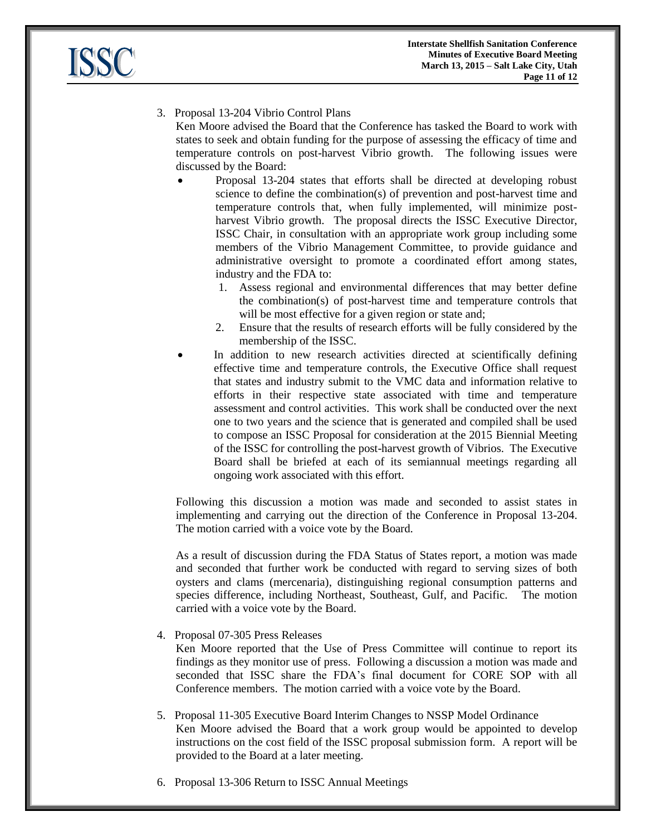

3. Proposal 13-204 Vibrio Control Plans

Ken Moore advised the Board that the Conference has tasked the Board to work with states to seek and obtain funding for the purpose of assessing the efficacy of time and temperature controls on post-harvest Vibrio growth. The following issues were discussed by the Board:

- Proposal 13-204 states that efforts shall be directed at developing robust science to define the combination(s) of prevention and post-harvest time and temperature controls that, when fully implemented, will minimize postharvest Vibrio growth. The proposal directs the ISSC Executive Director, ISSC Chair, in consultation with an appropriate work group including some members of the Vibrio Management Committee, to provide guidance and administrative oversight to promote a coordinated effort among states, industry and the FDA to:
	- 1. Assess regional and environmental differences that may better define the combination(s) of post-harvest time and temperature controls that will be most effective for a given region or state and;
	- 2. Ensure that the results of research efforts will be fully considered by the membership of the ISSC.
- In addition to new research activities directed at scientifically defining effective time and temperature controls, the Executive Office shall request that states and industry submit to the VMC data and information relative to efforts in their respective state associated with time and temperature assessment and control activities. This work shall be conducted over the next one to two years and the science that is generated and compiled shall be used to compose an ISSC Proposal for consideration at the 2015 Biennial Meeting of the ISSC for controlling the post-harvest growth of Vibrios. The Executive Board shall be briefed at each of its semiannual meetings regarding all ongoing work associated with this effort.

Following this discussion a motion was made and seconded to assist states in implementing and carrying out the direction of the Conference in Proposal 13-204. The motion carried with a voice vote by the Board.

As a result of discussion during the FDA Status of States report, a motion was made and seconded that further work be conducted with regard to serving sizes of both oysters and clams (mercenaria), distinguishing regional consumption patterns and species difference, including Northeast, Southeast, Gulf, and Pacific. The motion carried with a voice vote by the Board.

4. Proposal 07-305 Press Releases

Ken Moore reported that the Use of Press Committee will continue to report its findings as they monitor use of press. Following a discussion a motion was made and seconded that ISSC share the FDA's final document for CORE SOP with all Conference members. The motion carried with a voice vote by the Board.

- 5. Proposal 11-305 Executive Board Interim Changes to NSSP Model Ordinance Ken Moore advised the Board that a work group would be appointed to develop instructions on the cost field of the ISSC proposal submission form. A report will be provided to the Board at a later meeting.
- 6. Proposal 13-306 Return to ISSC Annual Meetings